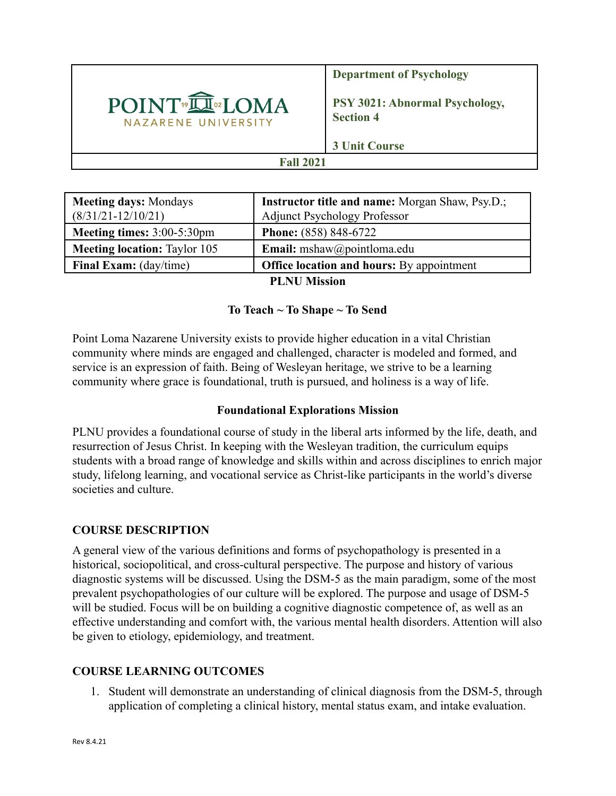

**Department of Psychology**

**PSY 3021: Abnormal Psychology, Section 4**

**3 Unit Course**

## **Fall 2021**

| <b>Meeting days: Mondays</b><br>$(8/31/21 - 12/10/21)$ | <b>Instructor title and name:</b> Morgan Shaw, Psy.D.;<br><b>Adjunct Psychology Professor</b> |  |  |  |
|--------------------------------------------------------|-----------------------------------------------------------------------------------------------|--|--|--|
| Meeting times: 3:00-5:30pm                             | <b>Phone:</b> (858) 848-6722                                                                  |  |  |  |
| <b>Meeting location:</b> Taylor 105                    | <b>Email:</b> mshaw@pointloma.edu                                                             |  |  |  |
| <b>Final Exam:</b> (day/time)                          | <b>Office location and hours:</b> By appointment                                              |  |  |  |
| <b>PI NII Mission</b>                                  |                                                                                               |  |  |  |

**PLNU Mission**

#### **To Teach ~ To Shape ~ To Send**

Point Loma Nazarene University exists to provide higher education in a vital Christian community where minds are engaged and challenged, character is modeled and formed, and service is an expression of faith. Being of Wesleyan heritage, we strive to be a learning community where grace is foundational, truth is pursued, and holiness is a way of life.

#### **Foundational Explorations Mission**

PLNU provides a foundational course of study in the liberal arts informed by the life, death, and resurrection of Jesus Christ. In keeping with the Wesleyan tradition, the curriculum equips students with a broad range of knowledge and skills within and across disciplines to enrich major study, lifelong learning, and vocational service as Christ-like participants in the world's diverse societies and culture.

# **COURSE DESCRIPTION**

A general view of the various definitions and forms of psychopathology is presented in a historical, sociopolitical, and cross-cultural perspective. The purpose and history of various diagnostic systems will be discussed. Using the DSM-5 as the main paradigm, some of the most prevalent psychopathologies of our culture will be explored. The purpose and usage of DSM-5 will be studied. Focus will be on building a cognitive diagnostic competence of, as well as an effective understanding and comfort with, the various mental health disorders. Attention will also be given to etiology, epidemiology, and treatment.

# **COURSE LEARNING OUTCOMES**

1. Student will demonstrate an understanding of clinical diagnosis from the DSM-5, through application of completing a clinical history, mental status exam, and intake evaluation.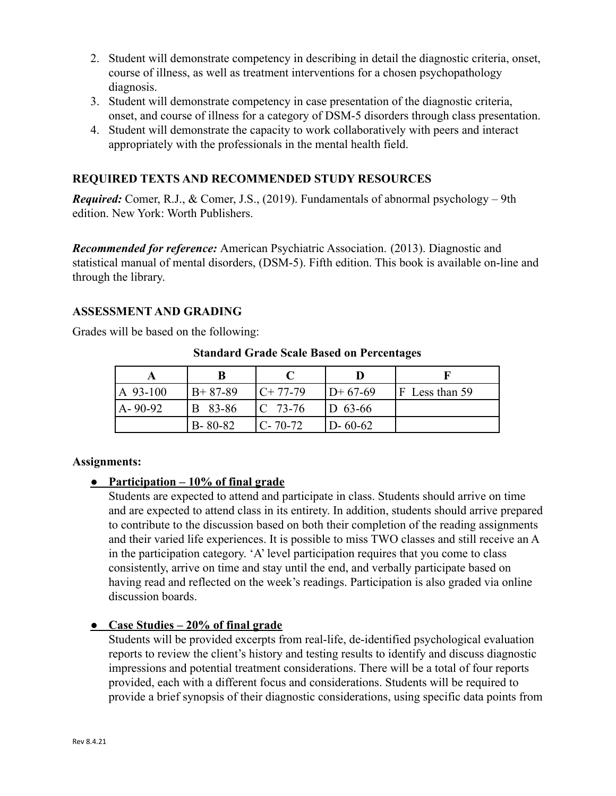- 2. Student will demonstrate competency in describing in detail the diagnostic criteria, onset, course of illness, as well as treatment interventions for a chosen psychopathology diagnosis.
- 3. Student will demonstrate competency in case presentation of the diagnostic criteria, onset, and course of illness for a category of DSM-5 disorders through class presentation.
- 4. Student will demonstrate the capacity to work collaboratively with peers and interact appropriately with the professionals in the mental health field.

### **REQUIRED TEXTS AND RECOMMENDED STUDY RESOURCES**

*Required:* Comer, R.J., & Comer, J.S., (2019). Fundamentals of abnormal psychology – 9th edition. New York: Worth Publishers.

*Recommended for reference:* American Psychiatric Association. (2013). Diagnostic and statistical manual of mental disorders, (DSM-5). Fifth edition. This book is available on-line and through the library.

#### **ASSESSMENT AND GRADING**

Grades will be based on the following:

| A 93-100  | $B+87-89$     | $C+77-79$      | $ID+67-69$    | F Less than 59 |
|-----------|---------------|----------------|---------------|----------------|
| I A-90-92 | B 83-86       | $\Gamma$ 73-76 | $ D 63-66 $   |                |
|           | $B - 80 - 82$ | $C - 70 - 72$  | $D - 60 - 62$ |                |

#### **Standard Grade Scale Based on Percentages**

#### **Assignments:**

#### **● Participation – 10% of final grade**

Students are expected to attend and participate in class. Students should arrive on time and are expected to attend class in its entirety. In addition, students should arrive prepared to contribute to the discussion based on both their completion of the reading assignments and their varied life experiences. It is possible to miss TWO classes and still receive an A in the participation category. 'A' level participation requires that you come to class consistently, arrive on time and stay until the end, and verbally participate based on having read and reflected on the week's readings. Participation is also graded via online discussion boards.

#### **● Case Studies – 20% of final grade**

Students will be provided excerpts from real-life, de-identified psychological evaluation reports to review the client's history and testing results to identify and discuss diagnostic impressions and potential treatment considerations. There will be a total of four reports provided, each with a different focus and considerations. Students will be required to provide a brief synopsis of their diagnostic considerations, using specific data points from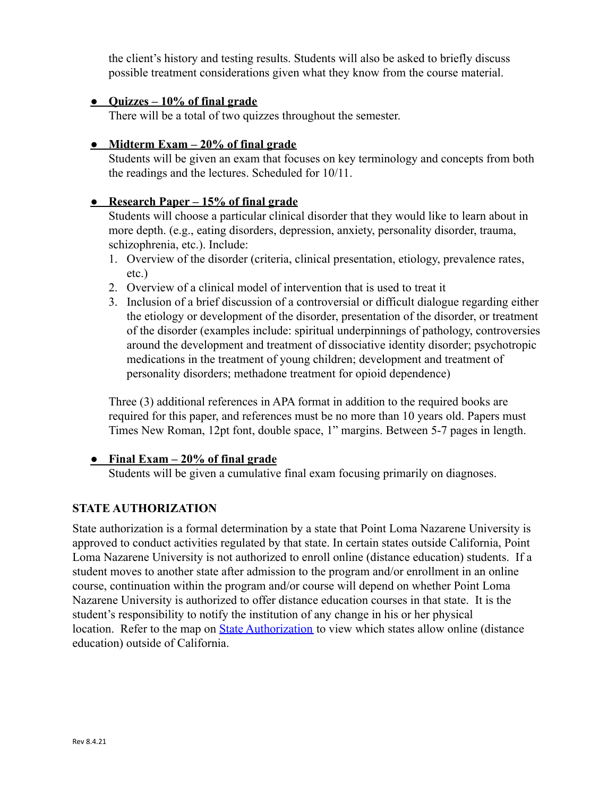the client's history and testing results. Students will also be asked to briefly discuss possible treatment considerations given what they know from the course material.

#### **● Quizzes – 10% of final grade**

There will be a total of two quizzes throughout the semester.

#### **● Midterm Exam – 20% of final grade**

Students will be given an exam that focuses on key terminology and concepts from both the readings and the lectures. Scheduled for 10/11.

#### **● Research Paper – 15% of final grade**

Students will choose a particular clinical disorder that they would like to learn about in more depth. (e.g., eating disorders, depression, anxiety, personality disorder, trauma, schizophrenia, etc.). Include:

- 1. Overview of the disorder (criteria, clinical presentation, etiology, prevalence rates, etc.)
- 2. Overview of a clinical model of intervention that is used to treat it
- 3. Inclusion of a brief discussion of a controversial or difficult dialogue regarding either the etiology or development of the disorder, presentation of the disorder, or treatment of the disorder (examples include: spiritual underpinnings of pathology, controversies around the development and treatment of dissociative identity disorder; psychotropic medications in the treatment of young children; development and treatment of personality disorders; methadone treatment for opioid dependence)

Three (3) additional references in APA format in addition to the required books are required for this paper, and references must be no more than 10 years old. Papers must Times New Roman, 12pt font, double space, 1" margins. Between 5-7 pages in length.

#### **● Final Exam – 20% of final grade**

Students will be given a cumulative final exam focusing primarily on diagnoses.

# **STATE AUTHORIZATION**

State authorization is a formal determination by a state that Point Loma Nazarene University is approved to conduct activities regulated by that state. In certain states outside California, Point Loma Nazarene University is not authorized to enroll online (distance education) students. If a student moves to another state after admission to the program and/or enrollment in an online course, continuation within the program and/or course will depend on whether Point Loma Nazarene University is authorized to offer distance education courses in that state. It is the student's responsibility to notify the institution of any change in his or her physical location. Refer to the map on **[State Authorization](https://www.pointloma.edu/offices/office-institutional-effectiveness-research/disclosures)** to view which states allow online (distance education) outside of California.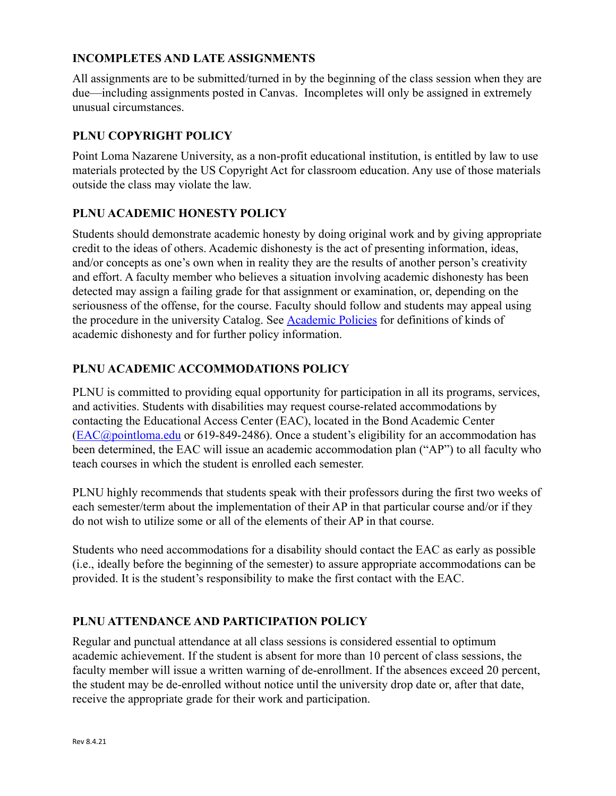### **INCOMPLETES AND LATE ASSIGNMENTS**

All assignments are to be submitted/turned in by the beginning of the class session when they are due—including assignments posted in Canvas. Incompletes will only be assigned in extremely unusual circumstances.

### **PLNU COPYRIGHT POLICY**

Point Loma Nazarene University, as a non-profit educational institution, is entitled by law to use materials protected by the US Copyright Act for classroom education. Any use of those materials outside the class may violate the law.

### **PLNU ACADEMIC HONESTY POLICY**

Students should demonstrate academic honesty by doing original work and by giving appropriate credit to the ideas of others. Academic dishonesty is the act of presenting information, ideas, and/or concepts as one's own when in reality they are the results of another person's creativity and effort. A faculty member who believes a situation involving academic dishonesty has been detected may assign a failing grade for that assignment or examination, or, depending on the seriousness of the offense, for the course. Faculty should follow and students may appeal using the procedure in the university Catalog. See [Academic](https://catalog.pointloma.edu/content.php?catoid=52&navoid=2919#Academic_Honesty) Policies for definitions of kinds of academic dishonesty and for further policy information.

### **PLNU ACADEMIC ACCOMMODATIONS POLICY**

PLNU is committed to providing equal opportunity for participation in all its programs, services, and activities. Students with disabilities may request course-related accommodations by contacting the Educational Access Center (EAC), located in the Bond Academic Center ([EAC@pointloma.edu](mailto:EAC@pointloma.edu) or 619-849-2486). Once a student's eligibility for an accommodation has been determined, the EAC will issue an academic accommodation plan ("AP") to all faculty who teach courses in which the student is enrolled each semester.

PLNU highly recommends that students speak with their professors during the first two weeks of each semester/term about the implementation of their AP in that particular course and/or if they do not wish to utilize some or all of the elements of their AP in that course.

Students who need accommodations for a disability should contact the EAC as early as possible (i.e., ideally before the beginning of the semester) to assure appropriate accommodations can be provided. It is the student's responsibility to make the first contact with the EAC.

# **PLNU ATTENDANCE AND PARTICIPATION POLICY**

Regular and punctual attendance at all class sessions is considered essential to optimum academic achievement. If the student is absent for more than 10 percent of class sessions, the faculty member will issue a written warning of de-enrollment. If the absences exceed 20 percent, the student may be de-enrolled without notice until the university drop date or, after that date, receive the appropriate grade for their work and participation.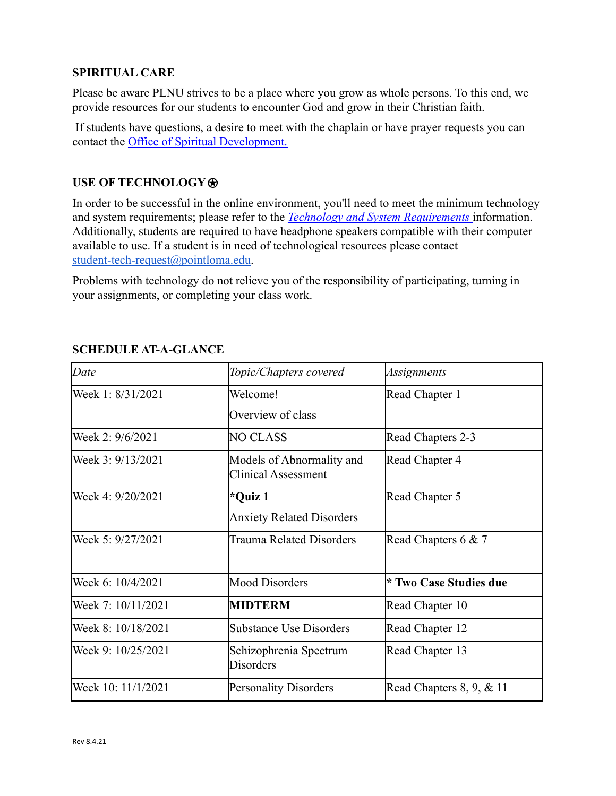### **SPIRITUAL CARE**

Please be aware PLNU strives to be a place where you grow as whole persons. To this end, we provide resources for our students to encounter God and grow in their Christian faith.

If students have questions, a desire to meet with the chaplain or have prayer requests you can contact the Office of Spiritual Development.

### **USE OF TECHNOLOGY**⍟

In order to be successful in the online environment, you'll need to meet the minimum technology and system requirements; please refer to the *Technology [and System Requirements](https://help.pointloma.edu/TDClient/1808/Portal/KB/ArticleDet?ID=108349)* information. Additionally, students are required to have headphone speakers compatible with their computer available to use. If a student is in need of technological resources please contact [student-tech-request@pointloma.edu](mailto:student-tech-request@pointloma.edu).

Problems with technology do not relieve you of the responsibility of participating, turning in your assignments, or completing your class work.

| Date               | Topic/Chapters covered                                  | Assignments                 |
|--------------------|---------------------------------------------------------|-----------------------------|
| Week 1: 8/31/2021  | Welcome!                                                | Read Chapter 1              |
|                    | Overview of class                                       |                             |
| Week 2: 9/6/2021   | <b>NO CLASS</b>                                         | Read Chapters 2-3           |
| Week 3: 9/13/2021  | Models of Abnormality and<br><b>Clinical Assessment</b> | Read Chapter 4              |
| Week 4: 9/20/2021  | *Quiz 1                                                 | Read Chapter 5              |
|                    | <b>Anxiety Related Disorders</b>                        |                             |
| Week 5: 9/27/2021  | Trauma Related Disorders                                | Read Chapters 6 & 7         |
| Week 6: 10/4/2021  | <b>Mood Disorders</b>                                   | * Two Case Studies due      |
| Week 7: 10/11/2021 | <b>MIDTERM</b>                                          | Read Chapter 10             |
| Week 8: 10/18/2021 | <b>Substance Use Disorders</b>                          | Read Chapter 12             |
| Week 9: 10/25/2021 | Schizophrenia Spectrum<br><b>Disorders</b>              | Read Chapter 13             |
| Week 10: 11/1/2021 | <b>Personality Disorders</b>                            | Read Chapters $8, 9, \& 11$ |

# **SCHEDULE AT-A-GLANCE**